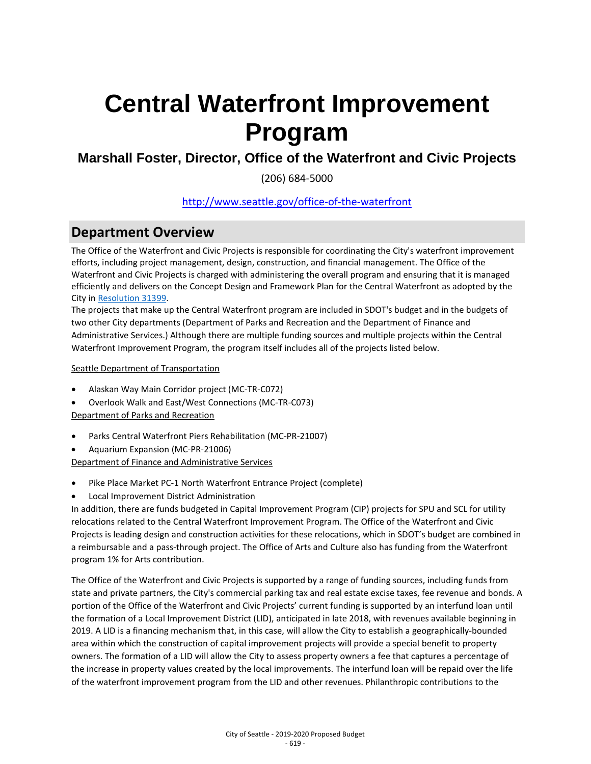**Marshall Foster, Director, Office of the Waterfront and Civic Projects**

(206) 684-5000

### [http://www.seattle.gov/office-of-the-waterfront](http://www.seattle.gov/office-of-the-waterfront/)

### **Department Overview**

The Office of the Waterfront and Civic Projects is responsible for coordinating the City's waterfront improvement efforts, including project management, design, construction, and financial management. The Office of the Waterfront and Civic Projects is charged with administering the overall program and ensuring that it is managed efficiently and delivers on the Concept Design and Framework Plan for the Central Waterfront as adopted by the City i[n Resolution 31399.](http://clerk.seattle.gov/%7Escripts/nph-brs.exe?s1=&s3=31399&s2=&s4=&Sect4=AND&l=200&Sect2=THESON&Sect3=PLURON&Sect5=RESNY&Sect6=HITOFF&d=RESF&p=1&u=%2F%7Epublic%2Fresny.htm&r=1&f=G) 

The projects that make up the Central Waterfront program are included in SDOT's budget and in the budgets of two other City departments (Department of Parks and Recreation and the Department of Finance and Administrative Services.) Although there are multiple funding sources and multiple projects within the Central Waterfront Improvement Program, the program itself includes all of the projects listed below.

Seattle Department of Transportation

- Alaskan Way Main Corridor project (MC-TR-C072)
- Overlook Walk and East/West Connections (MC-TR-C073) Department of Parks and Recreation
- Parks Central Waterfront Piers Rehabilitation (MC-PR-21007)
- Aquarium Expansion (MC-PR-21006)

Department of Finance and Administrative Services

- Pike Place Market PC-1 North Waterfront Entrance Project (complete)
- Local Improvement District Administration

In addition, there are funds budgeted in Capital Improvement Program (CIP) projects for SPU and SCL for utility relocations related to the Central Waterfront Improvement Program. The Office of the Waterfront and Civic Projects is leading design and construction activities for these relocations, which in SDOT's budget are combined in a reimbursable and a pass-through project. The Office of Arts and Culture also has funding from the Waterfront program 1% for Arts contribution.

The Office of the Waterfront and Civic Projects is supported by a range of funding sources, including funds from state and private partners, the City's commercial parking tax and real estate excise taxes, fee revenue and bonds. A portion of the Office of the Waterfront and Civic Projects' current funding is supported by an interfund loan until the formation of a Local Improvement District (LID), anticipated in late 2018, with revenues available beginning in 2019. A LID is a financing mechanism that, in this case, will allow the City to establish a geographically-bounded area within which the construction of capital improvement projects will provide a special benefit to property owners. The formation of a LID will allow the City to assess property owners a fee that captures a percentage of the increase in property values created by the local improvements. The interfund loan will be repaid over the life of the waterfront improvement program from the LID and other revenues. Philanthropic contributions to the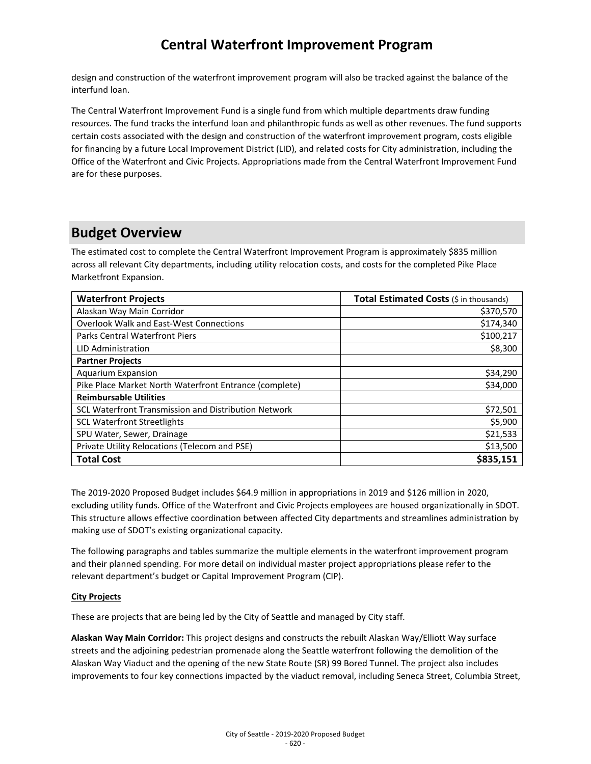design and construction of the waterfront improvement program will also be tracked against the balance of the interfund loan.

The Central Waterfront Improvement Fund is a single fund from which multiple departments draw funding resources. The fund tracks the interfund loan and philanthropic funds as well as other revenues. The fund supports certain costs associated with the design and construction of the waterfront improvement program, costs eligible for financing by a future Local Improvement District (LID), and related costs for City administration, including the Office of the Waterfront and Civic Projects. Appropriations made from the Central Waterfront Improvement Fund are for these purposes.

### **Budget Overview**

The estimated cost to complete the Central Waterfront Improvement Program is approximately \$835 million across all relevant City departments, including utility relocation costs, and costs for the completed Pike Place Marketfront Expansion.

| <b>Waterfront Projects</b>                                  | Total Estimated Costs (\$ in thousands) |
|-------------------------------------------------------------|-----------------------------------------|
| Alaskan Way Main Corridor                                   | \$370,570                               |
| <b>Overlook Walk and East-West Connections</b>              | \$174,340                               |
| <b>Parks Central Waterfront Piers</b>                       | \$100,217                               |
| LID Administration                                          | \$8,300                                 |
| <b>Partner Projects</b>                                     |                                         |
| <b>Aquarium Expansion</b>                                   | \$34,290                                |
| Pike Place Market North Waterfront Entrance (complete)      | \$34,000                                |
| <b>Reimbursable Utilities</b>                               |                                         |
| <b>SCL Waterfront Transmission and Distribution Network</b> | \$72,501                                |
| <b>SCL Waterfront Streetlights</b>                          | \$5,900                                 |
| SPU Water, Sewer, Drainage                                  | \$21,533                                |
| Private Utility Relocations (Telecom and PSE)               | \$13,500                                |
| <b>Total Cost</b>                                           | \$835,151                               |

The 2019-2020 Proposed Budget includes \$64.9 million in appropriations in 2019 and \$126 million in 2020, excluding utility funds. Office of the Waterfront and Civic Projects employees are housed organizationally in SDOT. This structure allows effective coordination between affected City departments and streamlines administration by making use of SDOT's existing organizational capacity.

The following paragraphs and tables summarize the multiple elements in the waterfront improvement program and their planned spending. For more detail on individual master project appropriations please refer to the relevant department's budget or Capital Improvement Program (CIP).

#### **City Projects**

These are projects that are being led by the City of Seattle and managed by City staff.

**Alaskan Way Main Corridor:** This project designs and constructs the rebuilt Alaskan Way/Elliott Way surface streets and the adjoining pedestrian promenade along the Seattle waterfront following the demolition of the Alaskan Way Viaduct and the opening of the new State Route (SR) 99 Bored Tunnel. The project also includes improvements to four key connections impacted by the viaduct removal, including Seneca Street, Columbia Street,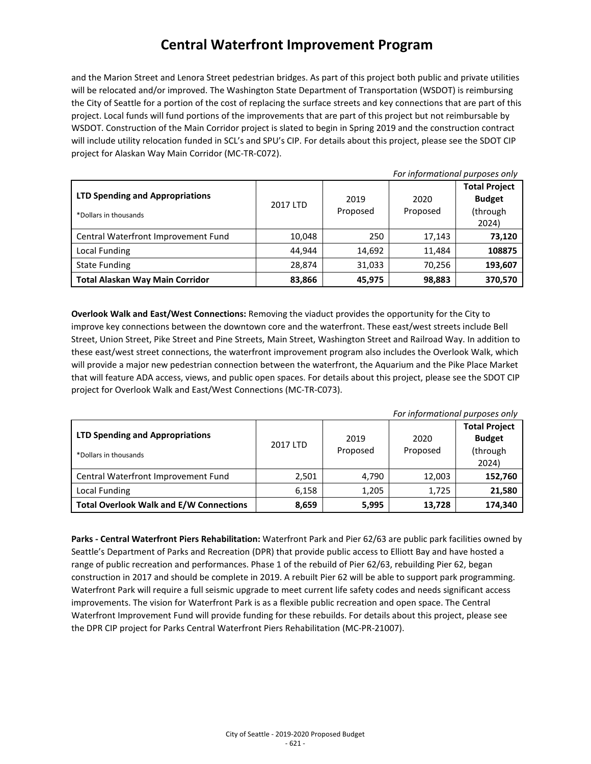and the Marion Street and Lenora Street pedestrian bridges. As part of this project both public and private utilities will be relocated and/or improved. The Washington State Department of Transportation (WSDOT) is reimbursing the City of Seattle for a portion of the cost of replacing the surface streets and key connections that are part of this project. Local funds will fund portions of the improvements that are part of this project but not reimbursable by WSDOT. Construction of the Main Corridor project is slated to begin in Spring 2019 and the construction contract will include utility relocation funded in SCL's and SPU's CIP. For details about this project, please see the SDOT CIP project for Alaskan Way Main Corridor (MC-TR-C072).

| For informational purposes only                                 |          |                  |                  |                                                            |
|-----------------------------------------------------------------|----------|------------------|------------------|------------------------------------------------------------|
| <b>LTD Spending and Appropriations</b><br>*Dollars in thousands | 2017 LTD | 2019<br>Proposed | 2020<br>Proposed | <b>Total Project</b><br><b>Budget</b><br>(through<br>2024) |
| Central Waterfront Improvement Fund                             | 10,048   | 250              | 17,143           | 73,120                                                     |
| Local Funding                                                   | 44.944   | 14,692           | 11,484           | 108875                                                     |
| <b>State Funding</b>                                            | 28,874   | 31,033           | 70,256           | 193,607                                                    |
| <b>Total Alaskan Way Main Corridor</b>                          | 83,866   | 45,975           | 98,883           | 370,570                                                    |

**Overlook Walk and East/West Connections:** Removing the viaduct provides the opportunity for the City to improve key connections between the downtown core and the waterfront. These east/west streets include Bell Street, Union Street, Pike Street and Pine Streets, Main Street, Washington Street and Railroad Way. In addition to these east/west street connections, the waterfront improvement program also includes the Overlook Walk, which will provide a major new pedestrian connection between the waterfront, the Aquarium and the Pike Place Market that will feature ADA access, views, and public open spaces. For details about this project, please see the SDOT CIP project for Overlook Walk and East/West Connections (MC-TR-C073).

| For informational purposes only                          |          |                  |                  |                                                            |
|----------------------------------------------------------|----------|------------------|------------------|------------------------------------------------------------|
| LTD Spending and Appropriations<br>*Dollars in thousands | 2017 LTD | 2019<br>Proposed | 2020<br>Proposed | <b>Total Project</b><br><b>Budget</b><br>(through<br>2024) |
| Central Waterfront Improvement Fund                      | 2,501    | 4,790            | 12,003           | 152,760                                                    |
| Local Funding                                            | 6,158    | 1,205            | 1.725            | 21,580                                                     |
| <b>Total Overlook Walk and E/W Connections</b>           | 8,659    | 5,995            | 13,728           | 174,340                                                    |

**Parks - Central Waterfront Piers Rehabilitation:** Waterfront Park and Pier 62/63 are public park facilities owned by Seattle's Department of Parks and Recreation (DPR) that provide public access to Elliott Bay and have hosted a range of public recreation and performances. Phase 1 of the rebuild of Pier 62/63, rebuilding Pier 62, began construction in 2017 and should be complete in 2019. A rebuilt Pier 62 will be able to support park programming. Waterfront Park will require a full seismic upgrade to meet current life safety codes and needs significant access improvements. The vision for Waterfront Park is as a flexible public recreation and open space. The Central Waterfront Improvement Fund will provide funding for these rebuilds. For details about this project, please see the DPR CIP project for Parks Central Waterfront Piers Rehabilitation (MC-PR-21007).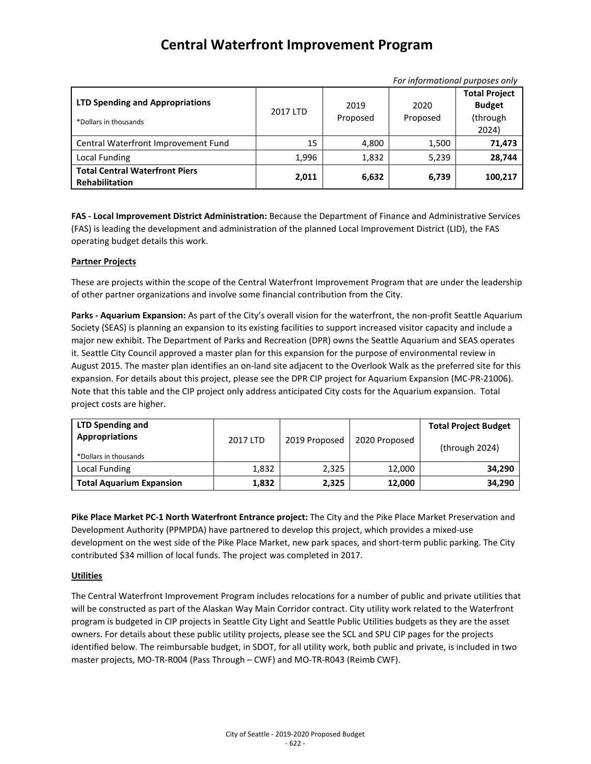| FUI IIIJUHIIULIUHUI PUI PUSES UHIY                              |          |                  |                  |                                                            |
|-----------------------------------------------------------------|----------|------------------|------------------|------------------------------------------------------------|
| <b>LTD Spending and Appropriations</b><br>*Dollars in thousands | 2017 LTD | 2019<br>Proposed | 2020<br>Proposed | <b>Total Project</b><br><b>Budget</b><br>(through<br>2024) |
| Central Waterfront Improvement Fund                             | 15       | 4,800            | 1,500            | 71,473                                                     |
| Local Funding                                                   | 1,996    | 1,832            | 5,239            | 28,744                                                     |
| <b>Total Central Waterfront Piers</b><br><b>Rehabilitation</b>  | 2,011    | 6,632            | 6,739            | 100.217                                                    |

*For informational purposes only*

**FAS - Local Improvement District Administration:** Because the Department of Finance and Administrative Services (FAS) is leading the development and administration of the planned Local Improvement District (LID), the FAS operating budget details this work.

#### **Partner Projects**

These are projects within the scope of the Central Waterfront Improvement Program that are under the leadership of other partner organizations and involve some financial contribution from the City.

**Parks - Aquarium Expansion:** As part of the City's overall vision for the waterfront, the non-profit Seattle Aquarium Society (SEAS) is planning an expansion to its existing facilities to support increased visitor capacity and include a major new exhibit. The Department of Parks and Recreation (DPR) owns the Seattle Aquarium and SEAS operates it. Seattle City Council approved a master plan for this expansion for the purpose of environmental review in August 2015. The master plan identifies an on-land site adjacent to the Overlook Walk as the preferred site for this expansion. For details about this project, please see the DPR CIP project for Aquarium Expansion (MC-PR-21006). Note that this table and the CIP project only address anticipated City costs for the Aquarium expansion. Total project costs are higher.

| <b>LTD Spending and</b><br><b>Appropriations</b> | 2017 LTD | 2019 Proposed | 2020 Proposed | <b>Total Project Budget</b><br>(through 2024) |
|--------------------------------------------------|----------|---------------|---------------|-----------------------------------------------|
| *Dollars in thousands                            |          |               |               |                                               |
| Local Funding                                    | 1,832    | 2,325         | 12.000        | 34,290                                        |
| <b>Total Aquarium Expansion</b>                  | 1,832    | 2,325         | 12,000        | 34,290                                        |

**Pike Place Market PC-1 North Waterfront Entrance project:** The City and the Pike Place Market Preservation and Development Authority (PPMPDA) have partnered to develop this project, which provides a mixed-use development on the west side of the Pike Place Market, new park spaces, and short-term public parking. The City contributed \$34 million of local funds. The project was completed in 2017.

#### **Utilities**

The Central Waterfront Improvement Program includes relocations for a number of public and private utilities that will be constructed as part of the Alaskan Way Main Corridor contract. City utility work related to the Waterfront program is budgeted in CIP projects in Seattle City Light and Seattle Public Utilities budgets as they are the asset owners. For details about these public utility projects, please see the SCL and SPU CIP pages for the projects identified below. The reimbursable budget, in SDOT, for all utility work, both public and private, is included in two master projects, MO-TR-R004 (Pass Through – CWF) and MO-TR-R043 (Reimb CWF).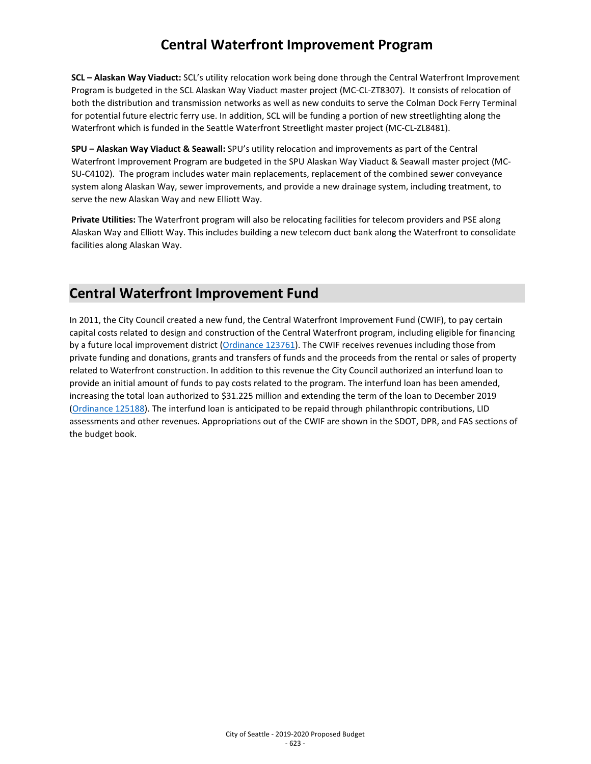**SCL – Alaskan Way Viaduct:** SCL's utility relocation work being done through the Central Waterfront Improvement Program is budgeted in the SCL Alaskan Way Viaduct master project (MC-CL-ZT8307). It consists of relocation of both the distribution and transmission networks as well as new conduits to serve the Colman Dock Ferry Terminal for potential future electric ferry use. In addition, SCL will be funding a portion of new streetlighting along the Waterfront which is funded in the Seattle Waterfront Streetlight master project (MC-CL-ZL8481).

**SPU – Alaskan Way Viaduct & Seawall:** SPU's utility relocation and improvements as part of the Central Waterfront Improvement Program are budgeted in the SPU Alaskan Way Viaduct & Seawall master project (MC-SU-C4102). The program includes water main replacements, replacement of the combined sewer conveyance system along Alaskan Way, sewer improvements, and provide a new drainage system, including treatment, to serve the new Alaskan Way and new Elliott Way.

**Private Utilities:** The Waterfront program will also be relocating facilities for telecom providers and PSE along Alaskan Way and Elliott Way. This includes building a new telecom duct bank along the Waterfront to consolidate facilities along Alaskan Way.

### **Central Waterfront Improvement Fund**

In 2011, the City Council created a new fund, the Central Waterfront Improvement Fund (CWIF), to pay certain capital costs related to design and construction of the Central Waterfront program, including eligible for financing by a future local improvement district [\(Ordinance 123761\)](http://clerk.seattle.gov/%7Escripts/nph-brs.exe?s3=&s4=123761&s5=&s1=&s2=&S6=&Sect4=AND&l=0&Sect2=THESON&Sect3=PLURON&Sect5=CBORY&Sect6=HITOFF&d=ORDF&p=1&u=%2F%7Epublic%2Fcbor1.htm&r=1&f=G). The CWIF receives revenues including those from private funding and donations, grants and transfers of funds and the proceeds from the rental or sales of property related to Waterfront construction. In addition to this revenue the City Council authorized an interfund loan to provide an initial amount of funds to pay costs related to the program. The interfund loan has been amended, increasing the total loan authorized to \$31.225 million and extending the term of the loan to December 2019 [\(Ordinance 125188\)](http://clerk.seattle.gov/%7Escripts/nph-brs.exe?s3=&s4=125188&s5=&s1=&s2=&S6=&Sect4=AND&l=0&Sect2=THESON&Sect3=PLURON&Sect5=CBORY&Sect6=HITOFF&d=ORDF&p=1&u=%2F%7Epublic%2Fcbor1.htm&r=1&f=G). The interfund loan is anticipated to be repaid through philanthropic contributions, LID assessments and other revenues. Appropriations out of the CWIF are shown in the SDOT, DPR, and FAS sections of the budget book.